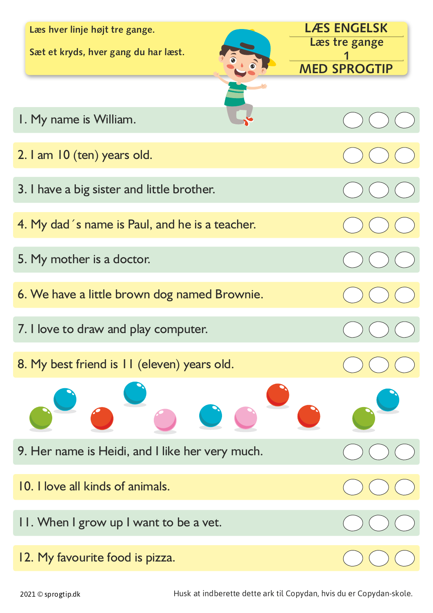| Læs hver linje højt tre gange.<br>Sæt et kryds, hver gang du har læst. | <b>LÆS ENGELSK</b><br>Læs tre gange |
|------------------------------------------------------------------------|-------------------------------------|
|                                                                        | <b>MED SPROGTIP</b>                 |
|                                                                        |                                     |
| I. My name is William.                                                 |                                     |
| 2. I am 10 (ten) years old.                                            |                                     |
| 3. I have a big sister and little brother.                             |                                     |
| 4. My dad 's name is Paul, and he is a teacher.                        |                                     |
| 5. My mother is a doctor.                                              |                                     |
| 6. We have a little brown dog named Brownie.                           |                                     |
| 7. I love to draw and play computer.                                   |                                     |
| 8. My best friend is 11 (eleven) years old.                            |                                     |
|                                                                        |                                     |
| 9. Her name is Heidi, and I like her very much.                        |                                     |
| 10. I love all kinds of animals.                                       |                                     |
| II. When I grow up I want to be a vet.                                 |                                     |
| 12. My favourite food is pizza.                                        |                                     |

2021 © sprogtip.dk Husk
at
indberette
dette
ark
til
Copydan,
hvis
du
er
Copydan-skole.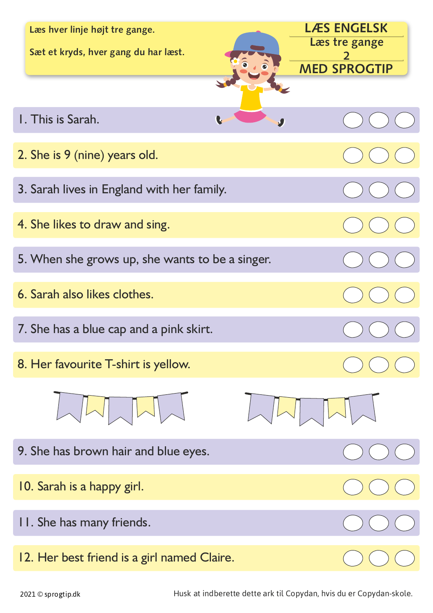| Læs hver linje højt tre gange.<br>Sæt et kryds, hver gang du har læst. | <b>LÆS ENGELSK</b><br>Læs tre gange<br>$\mathcal{L}$ |
|------------------------------------------------------------------------|------------------------------------------------------|
|                                                                        | <b>MED SPROGTIP</b>                                  |
|                                                                        |                                                      |
| I. This is Sarah.<br>L                                                 |                                                      |
| 2. She is 9 (nine) years old.                                          |                                                      |
| 3. Sarah lives in England with her family.                             |                                                      |
| 4. She likes to draw and sing.                                         |                                                      |
| 5. When she grows up, she wants to be a singer.                        |                                                      |
| 6. Sarah also likes clothes.                                           |                                                      |
| 7. She has a blue cap and a pink skirt.                                |                                                      |
| 8. Her favourite T-shirt is yellow.                                    |                                                      |
|                                                                        |                                                      |
| 9. She has brown hair and blue eyes.                                   |                                                      |
| 10. Sarah is a happy girl.                                             |                                                      |
| II. She has many friends.                                              |                                                      |
| 12. Her best friend is a girl named Claire.                            |                                                      |

2021 © sprogtip.dk en earlieden Husk at indberette dette ark til Copydan, hvis du er Copydan-skole.